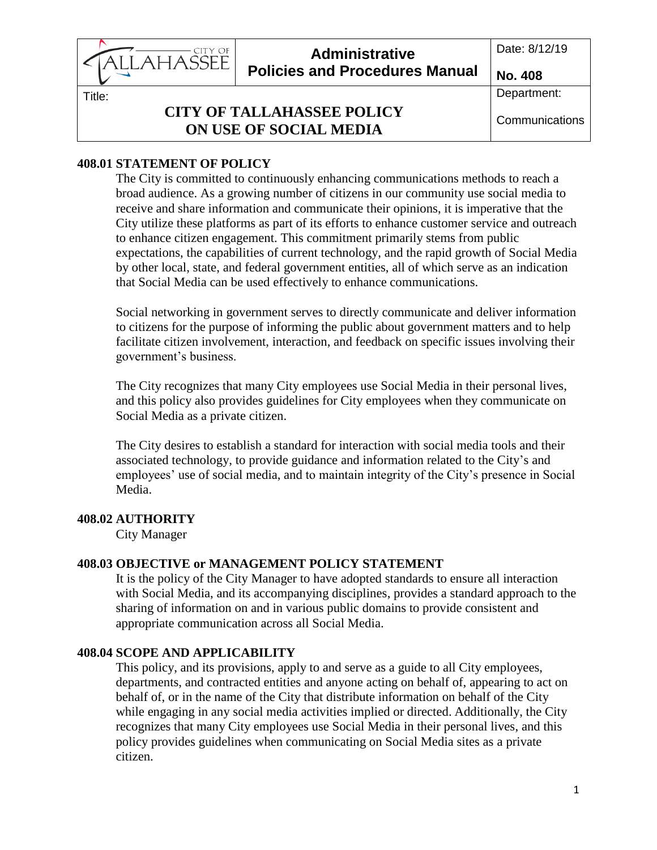Date: 8/12/19 **Administrative**  CITY OF AHASSEE **Policies and Procedures Manual No. 408**

Title:

# **CITY OF TALLAHASSEE POLICY ON USE OF SOCIAL MEDIA**

# **408.01 STATEMENT OF POLICY**

The City is committed to continuously enhancing communications methods to reach a broad audience. As a growing number of citizens in our community use social media to receive and share information and communicate their opinions, it is imperative that the City utilize these platforms as part of its efforts to enhance customer service and outreach to enhance citizen engagement. This commitment primarily stems from public expectations, the capabilities of current technology, and the rapid growth of Social Media by other local, state, and federal government entities, all of which serve as an indication that Social Media can be used effectively to enhance communications.

Social networking in government serves to directly communicate and deliver information to citizens for the purpose of informing the public about government matters and to help facilitate citizen involvement, interaction, and feedback on specific issues involving their government's business.

The City recognizes that many City employees use Social Media in their personal lives, and this policy also provides guidelines for City employees when they communicate on Social Media as a private citizen.

The City desires to establish a standard for interaction with social media tools and their associated technology, to provide guidance and information related to the City's and employees' use of social media, and to maintain integrity of the City's presence in Social Media.

# **408.02 AUTHORITY**

City Manager

# **408.03 OBJECTIVE or MANAGEMENT POLICY STATEMENT**

It is the policy of the City Manager to have adopted standards to ensure all interaction with Social Media, and its accompanying disciplines, provides a standard approach to the sharing of information on and in various public domains to provide consistent and appropriate communication across all Social Media.

# **408.04 SCOPE AND APPLICABILITY**

This policy, and its provisions, apply to and serve as a guide to all City employees, departments, and contracted entities and anyone acting on behalf of, appearing to act on behalf of, or in the name of the City that distribute information on behalf of the City while engaging in any social media activities implied or directed. Additionally, the City recognizes that many City employees use Social Media in their personal lives, and this policy provides guidelines when communicating on Social Media sites as a private citizen.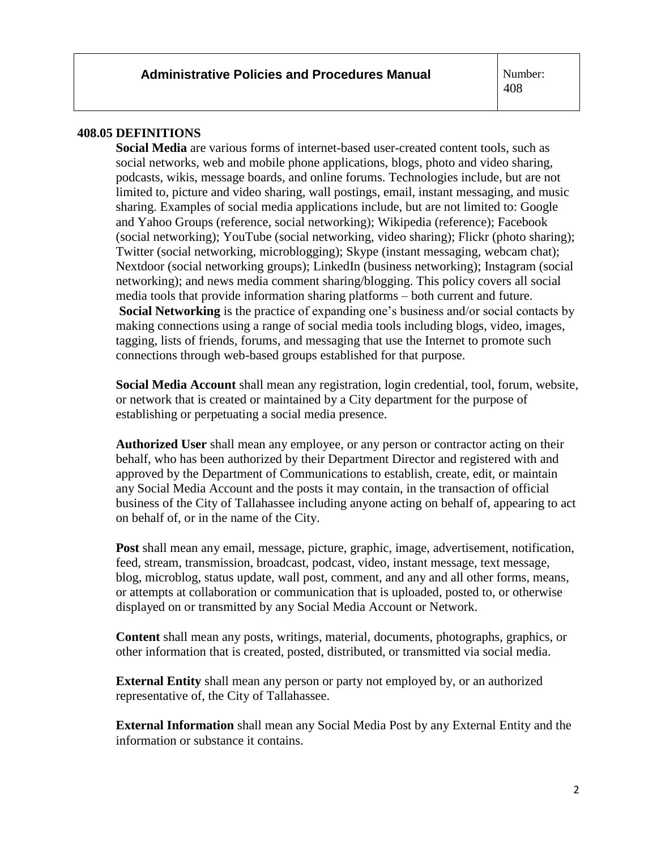#### **408.05 DEFINITIONS**

**Social Media** are various forms of internet-based user-created content tools, such as social networks, web and mobile phone applications, blogs, photo and video sharing, podcasts, wikis, message boards, and online forums. Technologies include, but are not limited to, picture and video sharing, wall postings, email, instant messaging, and music sharing. Examples of social media applications include, but are not limited to: Google and Yahoo Groups (reference, social networking); Wikipedia (reference); Facebook (social networking); YouTube (social networking, video sharing); Flickr (photo sharing); Twitter (social networking, microblogging); Skype (instant messaging, webcam chat); Nextdoor (social networking groups); LinkedIn (business networking); Instagram (social networking); and news media comment sharing/blogging. This policy covers all social media tools that provide information sharing platforms – both current and future. **Social Networking** is the practice of expanding one's business and/or social contacts by making connections using a range of social media tools including blogs, video, images, tagging, lists of friends, forums, and messaging that use the Internet to promote such connections through web-based groups established for that purpose.

**Social Media Account** shall mean any registration, login credential, tool, forum, website, or network that is created or maintained by a City department for the purpose of establishing or perpetuating a social media presence.

**Authorized User** shall mean any employee, or any person or contractor acting on their behalf, who has been authorized by their Department Director and registered with and approved by the Department of Communications to establish, create, edit, or maintain any Social Media Account and the posts it may contain, in the transaction of official business of the City of Tallahassee including anyone acting on behalf of, appearing to act on behalf of, or in the name of the City.

**Post** shall mean any email, message, picture, graphic, image, advertisement, notification, feed, stream, transmission, broadcast, podcast, video, instant message, text message, blog, microblog, status update, wall post, comment, and any and all other forms, means, or attempts at collaboration or communication that is uploaded, posted to, or otherwise displayed on or transmitted by any Social Media Account or Network.

**Content** shall mean any posts, writings, material, documents, photographs, graphics, or other information that is created, posted, distributed, or transmitted via social media.

**External Entity** shall mean any person or party not employed by, or an authorized representative of, the City of Tallahassee.

**External Information** shall mean any Social Media Post by any External Entity and the information or substance it contains.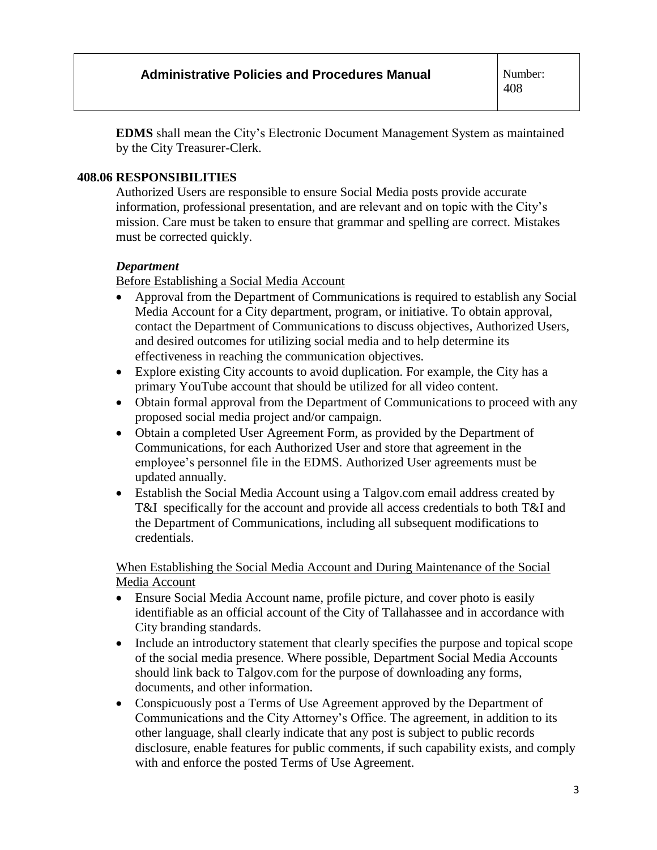**EDMS** shall mean the City's Electronic Document Management System as maintained by the City Treasurer-Clerk.

## **408.06 RESPONSIBILITIES**

Authorized Users are responsible to ensure Social Media posts provide accurate information, professional presentation, and are relevant and on topic with the City's mission. Care must be taken to ensure that grammar and spelling are correct. Mistakes must be corrected quickly.

### *Department*

Before Establishing a Social Media Account

- Approval from the Department of Communications is required to establish any Social Media Account for a City department, program, or initiative. To obtain approval, contact the Department of Communications to discuss objectives, Authorized Users, and desired outcomes for utilizing social media and to help determine its effectiveness in reaching the communication objectives.
- Explore existing City accounts to avoid duplication. For example, the City has a primary YouTube account that should be utilized for all video content.
- Obtain formal approval from the Department of Communications to proceed with any proposed social media project and/or campaign.
- Obtain a completed User Agreement Form, as provided by the Department of Communications, for each Authorized User and store that agreement in the employee's personnel file in the EDMS. Authorized User agreements must be updated annually.
- Establish the Social Media Account using a Talgov.com email address created by T&I specifically for the account and provide all access credentials to both T&I and the Department of Communications, including all subsequent modifications to credentials.

When Establishing the Social Media Account and During Maintenance of the Social Media Account

- Ensure Social Media Account name, profile picture, and cover photo is easily identifiable as an official account of the City of Tallahassee and in accordance with City branding standards.
- Include an introductory statement that clearly specifies the purpose and topical scope of the social media presence. Where possible, Department Social Media Accounts should link back to Talgov.com for the purpose of downloading any forms, documents, and other information.
- Conspicuously post a Terms of Use Agreement approved by the Department of Communications and the City Attorney's Office. The agreement, in addition to its other language, shall clearly indicate that any post is subject to public records disclosure, enable features for public comments, if such capability exists, and comply with and enforce the posted Terms of Use Agreement.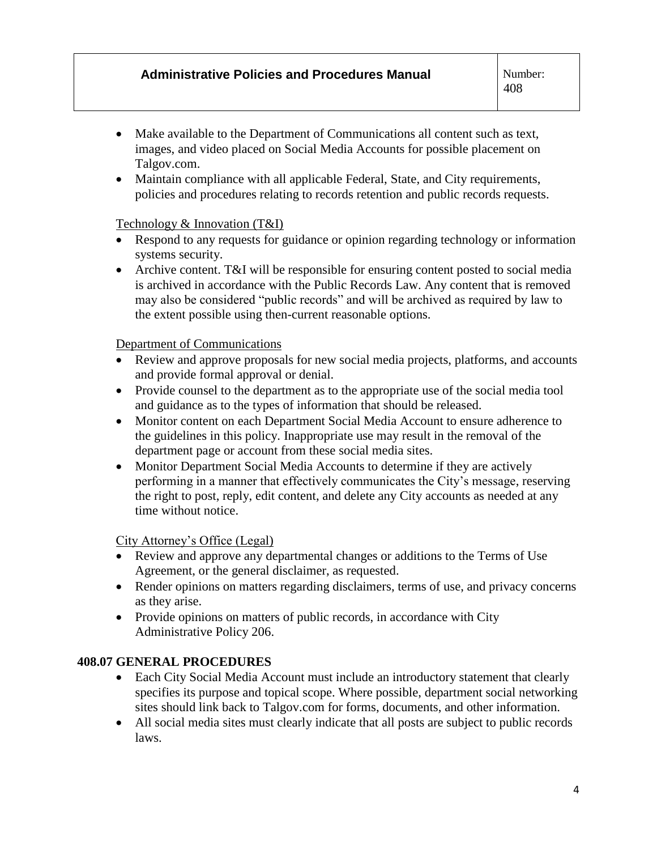## **Administrative Policies and Procedures Manual**

 $\overline{\phantom{a}}$ 

- Make available to the Department of Communications all content such as text, images, and video placed on Social Media Accounts for possible placement on Talgov.com.
- Maintain compliance with all applicable Federal, State, and City requirements, policies and procedures relating to records retention and public records requests.

### Technology & Innovation (T&I)

- Respond to any requests for guidance or opinion regarding technology or information systems security.
- Archive content. T&I will be responsible for ensuring content posted to social media is archived in accordance with the Public Records Law. Any content that is removed may also be considered "public records" and will be archived as required by law to the extent possible using then-current reasonable options.

#### Department of Communications

- Review and approve proposals for new social media projects, platforms, and accounts and provide formal approval or denial.
- Provide counsel to the department as to the appropriate use of the social media tool and guidance as to the types of information that should be released.
- Monitor content on each Department Social Media Account to ensure adherence to the guidelines in this policy. Inappropriate use may result in the removal of the department page or account from these social media sites.
- Monitor Department Social Media Accounts to determine if they are actively performing in a manner that effectively communicates the City's message, reserving the right to post, reply, edit content, and delete any City accounts as needed at any time without notice.

#### City Attorney's Office (Legal)

- Review and approve any departmental changes or additions to the Terms of Use Agreement, or the general disclaimer, as requested.
- Render opinions on matters regarding disclaimers, terms of use, and privacy concerns as they arise.
- Provide opinions on matters of public records, in accordance with City Administrative Policy 206.

## **408.07 GENERAL PROCEDURES**

- Each City Social Media Account must include an introductory statement that clearly specifies its purpose and topical scope. Where possible, department social networking sites should link back to Talgov.com for forms, documents, and other information.
- All social media sites must clearly indicate that all posts are subject to public records laws.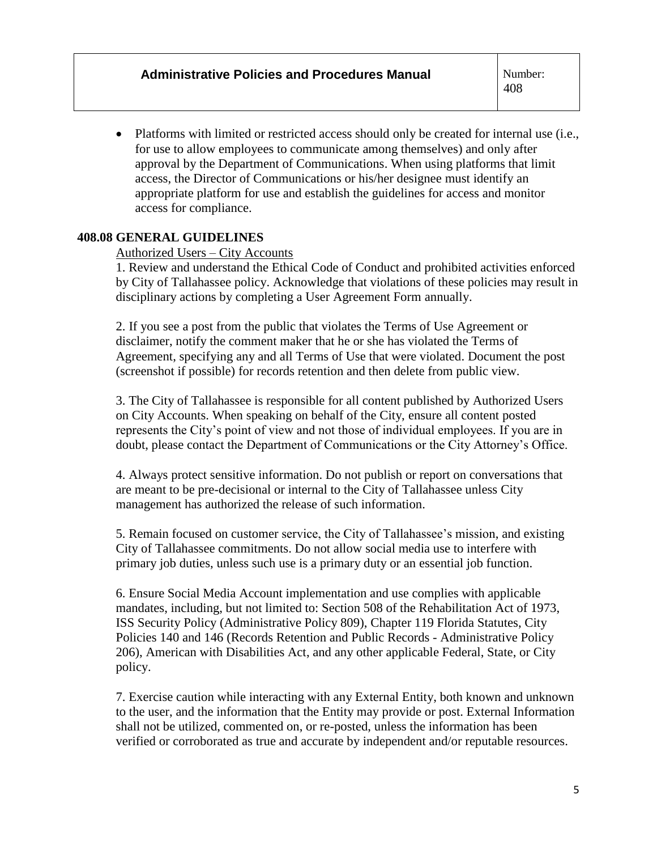• Platforms with limited or restricted access should only be created for internal use (i.e., for use to allow employees to communicate among themselves) and only after approval by the Department of Communications. When using platforms that limit access, the Director of Communications or his/her designee must identify an appropriate platform for use and establish the guidelines for access and monitor access for compliance.

## **408.08 GENERAL GUIDELINES**

#### Authorized Users – City Accounts

1. Review and understand the Ethical Code of Conduct and prohibited activities enforced by City of Tallahassee policy. Acknowledge that violations of these policies may result in disciplinary actions by completing a User Agreement Form annually.

2. If you see a post from the public that violates the Terms of Use Agreement or disclaimer, notify the comment maker that he or she has violated the Terms of Agreement, specifying any and all Terms of Use that were violated. Document the post (screenshot if possible) for records retention and then delete from public view.

3. The City of Tallahassee is responsible for all content published by Authorized Users on City Accounts. When speaking on behalf of the City, ensure all content posted represents the City's point of view and not those of individual employees. If you are in doubt, please contact the Department of Communications or the City Attorney's Office.

4. Always protect sensitive information. Do not publish or report on conversations that are meant to be pre-decisional or internal to the City of Tallahassee unless City management has authorized the release of such information.

5. Remain focused on customer service, the City of Tallahassee's mission, and existing City of Tallahassee commitments. Do not allow social media use to interfere with primary job duties, unless such use is a primary duty or an essential job function.

6. Ensure Social Media Account implementation and use complies with applicable mandates, including, but not limited to: Section 508 of the Rehabilitation Act of 1973, ISS Security Policy (Administrative Policy 809), Chapter 119 Florida Statutes, City Policies 140 and 146 (Records Retention and Public Records - Administrative Policy 206), American with Disabilities Act, and any other applicable Federal, State, or City policy.

7. Exercise caution while interacting with any External Entity, both known and unknown to the user, and the information that the Entity may provide or post. External Information shall not be utilized, commented on, or re-posted, unless the information has been verified or corroborated as true and accurate by independent and/or reputable resources.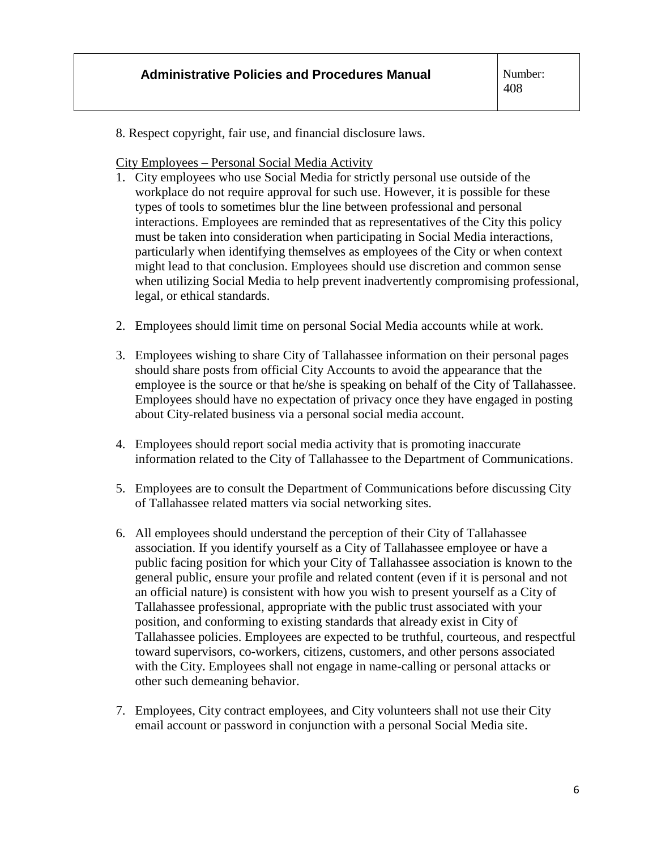8. Respect copyright, fair use, and financial disclosure laws.

City Employees – Personal Social Media Activity

- 1. City employees who use Social Media for strictly personal use outside of the workplace do not require approval for such use. However, it is possible for these types of tools to sometimes blur the line between professional and personal interactions. Employees are reminded that as representatives of the City this policy must be taken into consideration when participating in Social Media interactions, particularly when identifying themselves as employees of the City or when context might lead to that conclusion. Employees should use discretion and common sense when utilizing Social Media to help prevent inadvertently compromising professional, legal, or ethical standards.
- 2. Employees should limit time on personal Social Media accounts while at work.
- 3. Employees wishing to share City of Tallahassee information on their personal pages should share posts from official City Accounts to avoid the appearance that the employee is the source or that he/she is speaking on behalf of the City of Tallahassee. Employees should have no expectation of privacy once they have engaged in posting about City-related business via a personal social media account.
- 4. Employees should report social media activity that is promoting inaccurate information related to the City of Tallahassee to the Department of Communications.
- 5. Employees are to consult the Department of Communications before discussing City of Tallahassee related matters via social networking sites.
- 6. All employees should understand the perception of their City of Tallahassee association. If you identify yourself as a City of Tallahassee employee or have a public facing position for which your City of Tallahassee association is known to the general public, ensure your profile and related content (even if it is personal and not an official nature) is consistent with how you wish to present yourself as a City of Tallahassee professional, appropriate with the public trust associated with your position, and conforming to existing standards that already exist in City of Tallahassee policies. Employees are expected to be truthful, courteous, and respectful toward supervisors, co-workers, citizens, customers, and other persons associated with the City. Employees shall not engage in name-calling or personal attacks or other such demeaning behavior.
- 7. Employees, City contract employees, and City volunteers shall not use their City email account or password in conjunction with a personal Social Media site.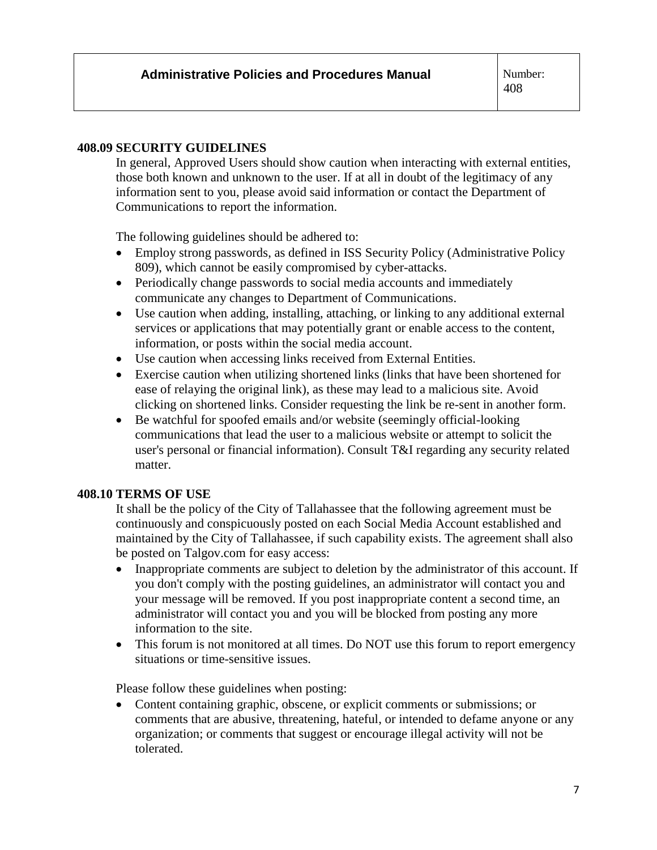#### **408.09 SECURITY GUIDELINES**

In general, Approved Users should show caution when interacting with external entities, those both known and unknown to the user. If at all in doubt of the legitimacy of any information sent to you, please avoid said information or contact the Department of Communications to report the information.

The following guidelines should be adhered to:

- Employ strong passwords, as defined in ISS Security Policy (Administrative Policy 809), which cannot be easily compromised by cyber-attacks.
- Periodically change passwords to social media accounts and immediately communicate any changes to Department of Communications.
- Use caution when adding, installing, attaching, or linking to any additional external services or applications that may potentially grant or enable access to the content, information, or posts within the social media account.
- Use caution when accessing links received from External Entities.
- Exercise caution when utilizing shortened links (links that have been shortened for ease of relaying the original link), as these may lead to a malicious site. Avoid clicking on shortened links. Consider requesting the link be re-sent in another form.
- Be watchful for spoofed emails and/or website (seemingly official-looking communications that lead the user to a malicious website or attempt to solicit the user's personal or financial information). Consult T&I regarding any security related matter.

#### **408.10 TERMS OF USE**

It shall be the policy of the City of Tallahassee that the following agreement must be continuously and conspicuously posted on each Social Media Account established and maintained by the City of Tallahassee, if such capability exists. The agreement shall also be posted on Talgov.com for easy access:

- Inappropriate comments are subject to deletion by the administrator of this account. If you don't comply with the posting guidelines, an administrator will contact you and your message will be removed. If you post inappropriate content a second time, an administrator will contact you and you will be blocked from posting any more information to the site.
- This forum is not monitored at all times. Do NOT use this forum to report emergency situations or time-sensitive issues.

Please follow these guidelines when posting:

• Content containing graphic, obscene, or explicit comments or submissions; or comments that are abusive, threatening, hateful, or intended to defame anyone or any organization; or comments that suggest or encourage illegal activity will not be tolerated.